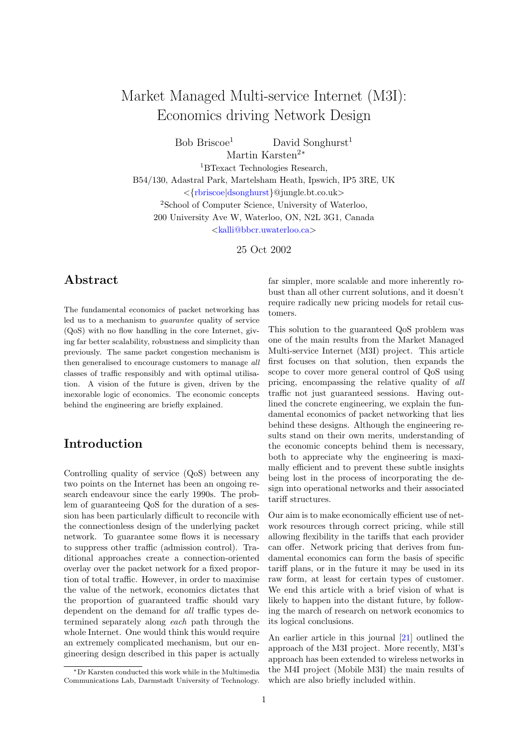# Market Managed Multi-service Internet (M3I): Economics driving Network Design

 $Bob Briscoe<sup>1</sup>$  David Songhurst<sup>1</sup> Martin Karsten<sup>2</sup><sup>∗</sup>

<sup>1</sup>BTexact Technologies Research, B54/130, Adastral Park, Martelsham Heath, Ipswich, IP5 3RE, UK <{[rbriscoe](mailto:rbriscoe@jungle.bt.co.uk)|[dsonghurst](mailto:dsonghurst@jungle.bt.co.uk)}@jungle.bt.co.uk> <sup>2</sup>School of Computer Science, University of Waterloo, 200 University Ave W, Waterloo, ON, N2L 3G1, Canada <[kalli@bbcr.uwaterloo.ca](mailto:kalli@bbcr.uwaterloo.ca)>

25 Oct 2002

### Abstract

The fundamental economics of packet networking has led us to a mechanism to guarantee quality of service (QoS) with no flow handling in the core Internet, giving far better scalability, robustness and simplicity than previously. The same packet congestion mechanism is then generalised to encourage customers to manage all classes of traffic responsibly and with optimal utilisation. A vision of the future is given, driven by the inexorable logic of economics. The economic concepts behind the engineering are briefly explained.

## Introduction

Controlling quality of service (QoS) between any two points on the Internet has been an ongoing research endeavour since the early 1990s. The problem of guaranteeing QoS for the duration of a session has been particularly difficult to reconcile with the connectionless design of the underlying packet network. To guarantee some flows it is necessary to suppress other traffic (admission control). Traditional approaches create a connection-oriented overlay over the packet network for a fixed proportion of total traffic. However, in order to maximise the value of the network, economics dictates that the proportion of guaranteed traffic should vary dependent on the demand for all traffic types determined separately along each path through the whole Internet. One would think this would require an extremely complicated mechanism, but our engineering design described in this paper is actually

far simpler, more scalable and more inherently robust than all other current solutions, and it doesn't require radically new pricing models for retail customers.

This solution to the guaranteed QoS problem was one of the main results from the Market Managed Multi-service Internet (M3I) project. This article first focuses on that solution, then expands the scope to cover more general control of QoS using pricing, encompassing the relative quality of all traffic not just guaranteed sessions. Having outlined the concrete engineering, we explain the fundamental economics of packet networking that lies behind these designs. Although the engineering results stand on their own merits, understanding of the economic concepts behind them is necessary, both to appreciate why the engineering is maximally efficient and to prevent these subtle insights being lost in the process of incorporating the design into operational networks and their associated tariff structures.

Our aim is to make economically efficient use of network resources through correct pricing, while still allowing flexibility in the tariffs that each provider can offer. Network pricing that derives from fundamental economics can form the basis of specific tariff plans, or in the future it may be used in its raw form, at least for certain types of customer. We end this article with a brief vision of what is likely to happen into the distant future, by following the march of research on network economics to its logical conclusions.

An earlier article in this journal [\[21\]](#page-12-0) outlined the approach of the M3I project. More recently, M3I's approach has been extended to wireless networks in the M4I project (Mobile M3I) the main results of which are also briefly included within.

<sup>∗</sup>Dr Karsten conducted this work while in the Multimedia Communications Lab, Darmstadt University of Technology.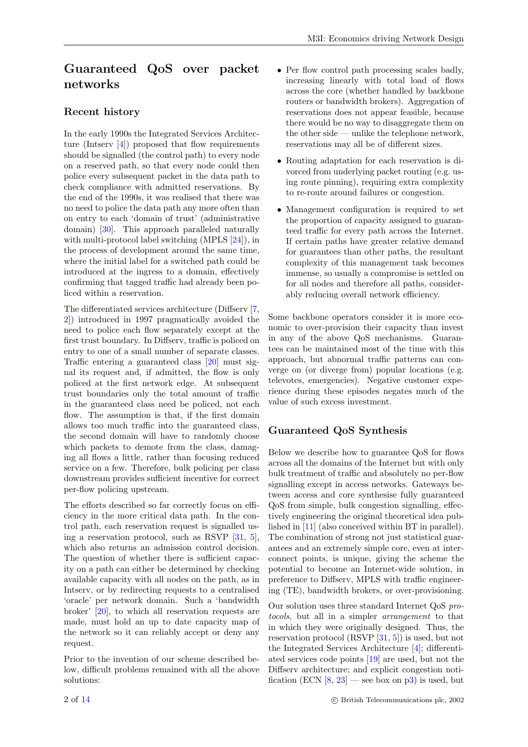## Guaranteed QoS over packet networks

#### Recent history

In the early 1990s the Integrated Services Architecture (Intserv [\[4\]](#page-12-1)) proposed that flow requirements should be signalled (the control path) to every node on a reserved path, so that every node could then police every subsequent packet in the data path to check compliance with admitted reservations. By the end of the 1990s, it was realised that there was no need to police the data path any more often than on entry to each 'domain of trust' (administrative domain) [\[30\]](#page-13-0). This approach paralleled naturally with multi-protocol label switching (MPLS [\[24\]](#page-13-1)), in the process of development around the same time, where the initial label for a switched path could be introduced at the ingress to a domain, effectively confirming that tagged traffic had already been policed within a reservation.

The differentiated services architecture (Diffserv [\[7,](#page-12-2) [2\]](#page-12-3)) introduced in 1997 pragmatically avoided the need to police each flow separately except at the first trust boundary. In Diffserv, traffic is policed on entry to one of a small number of separate classes. Traffic entering a guaranteed class [\[20\]](#page-12-4) must signal its request and, if admitted, the flow is only policed at the first network edge. At subsequent trust boundaries only the total amount of traffic in the guaranteed class need be policed, not each flow. The assumption is that, if the first domain allows too much traffic into the guaranteed class, the second domain will have to randomly choose which packets to demote from the class, damaging all flows a little, rather than focusing reduced service on a few. Therefore, bulk policing per class downstream provides sufficient incentive for correct per-flow policing upstream.

The efforts described so far correctly focus on efficiency in the more critical data path. In the control path, each reservation request is signalled using a reservation protocol, such as RSVP  $[31, 5]$  $[31, 5]$  $[31, 5]$ , which also returns an admission control decision. The question of whether there is sufficient capacity on a path can either be determined by checking available capacity with all nodes on the path, as in Intserv, or by redirecting requests to a centralised 'oracle' per network domain. Such a 'bandwidth broker' [\[20\]](#page-12-4), to which all reservation requests are made, must hold an up to date capacity map of the network so it can reliably accept or deny any request.

Prior to the invention of our scheme described below, difficult problems remained with all the above solutions:

- Per flow control path processing scales badly, increasing linearly with total load of flows across the core (whether handled by backbone routers or bandwidth brokers). Aggregation of reservations does not appear feasible, because there would be no way to disaggregate them on the other side — unlike the telephone network, reservations may all be of different sizes.
- Routing adaptation for each reservation is divorced from underlying packet routing (e.g. using route pinning), requiring extra complexity to re-route around failures or congestion.
- Management configuration is required to set the proportion of capacity assigned to guaranteed traffic for every path across the Internet. If certain paths have greater relative demand for guarantees than other paths, the resultant complexity of this management task becomes immense, so usually a compromise is settled on for all nodes and therefore all paths, considerably reducing overall network efficiency.

Some backbone operators consider it is more economic to over-provision their capacity than invest in any of the above QoS mechanisms. Guarantees can be maintained most of the time with this approach, but abnormal traffic patterns can converge on (or diverge from) popular locations (e.g. televotes, emergencies). Negative customer experience during these episodes negates much of the value of such excess investment.

### Guaranteed QoS Synthesis

Below we describe how to guarantee QoS for flows across all the domains of the Internet but with only bulk treatment of traffic and absolutely no per-flow signalling except in access networks. Gateways between access and core synthesise fully guaranteed QoS from simple, bulk congestion signalling, effectively engineering the original theoretical idea published in [\[11\]](#page-12-6) (also conceived within BT in parallel). The combination of strong not just statistical guarantees and an extremely simple core, even at interconnect points, is unique, giving the scheme the potential to become an Internet-wide solution, in preference to Diffserv, MPLS with traffic engineering (TE), bandwidth brokers, or over-provisioning.

Our solution uses three standard Internet QoS protocols, but all in a simpler arrangement to that in which they were originally designed. Thus, the reservation protocol (RSVP [\[31,](#page-13-2) [5\]](#page-12-5)) is used, but not the Integrated Services Architecture [\[4\]](#page-12-1); differentiated services code points [\[19\]](#page-12-7) are used, but not the Diffserv architecture; and explicit congestion notification (ECN  $[8, 23]$  $[8, 23]$  $[8, 23]$  — see box on [p3\)](#page-2-0) is used, but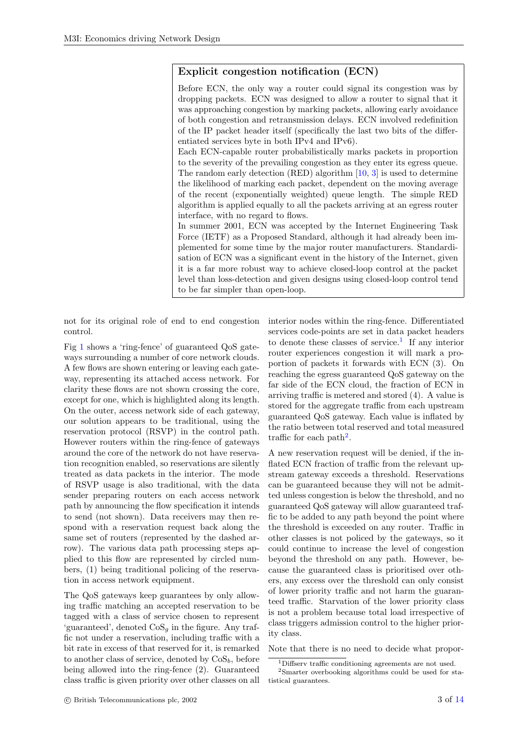#### Explicit congestion notification (ECN)

<span id="page-2-0"></span>Before ECN, the only way a router could signal its congestion was by dropping packets. ECN was designed to allow a router to signal that it was approaching congestion by marking packets, allowing early avoidance of both congestion and retransmission delays. ECN involved redefinition of the IP packet header itself (specifically the last two bits of the differentiated services byte in both IPv4 and IPv6).

Each ECN-capable router probabilistically marks packets in proportion to the severity of the prevailing congestion as they enter its egress queue. The random early detection (RED) algorithm  $[10, 3]$  $[10, 3]$  $[10, 3]$  is used to determine the likelihood of marking each packet, dependent on the moving average of the recent (exponentially weighted) queue length. The simple RED algorithm is applied equally to all the packets arriving at an egress router interface, with no regard to flows.

In summer 2001, ECN was accepted by the Internet Engineering Task Force (IETF) as a Proposed Standard, although it had already been implemented for some time by the major router manufacturers. Standardisation of ECN was a significant event in the history of the Internet, given it is a far more robust way to achieve closed-loop control at the packet level than loss-detection and given designs using closed-loop control tend to be far simpler than open-loop.

not for its original role of end to end congestion control.

Fig [1](#page-3-0) shows a 'ring-fence' of guaranteed QoS gateways surrounding a number of core network clouds. A few flows are shown entering or leaving each gateway, representing its attached access network. For clarity these flows are not shown crossing the core, except for one, which is highlighted along its length. On the outer, access network side of each gateway, our solution appears to be traditional, using the reservation protocol (RSVP) in the control path. However routers within the ring-fence of gateways around the core of the network do not have reservation recognition enabled, so reservations are silently treated as data packets in the interior. The mode of RSVP usage is also traditional, with the data sender preparing routers on each access network path by announcing the flow specification it intends to send (not shown). Data receivers may then respond with a reservation request back along the same set of routers (represented by the dashed arrow). The various data path processing steps applied to this flow are represented by circled numbers, (1) being traditional policing of the reservation in access network equipment.

The QoS gateways keep guarantees by only allowing traffic matching an accepted reservation to be tagged with a class of service chosen to represent 'guaranteed', denoted  $\cos_q$  in the figure. Any traffic not under a reservation, including traffic with a bit rate in excess of that reserved for it, is remarked to another class of service, denoted by  $\cos_b$ , before being allowed into the ring-fence (2). Guaranteed class traffic is given priority over other classes on all interior nodes within the ring-fence. Differentiated services code-points are set in data packet headers to denote these classes of service.<sup>[1](#page-2-1)</sup> If any interior router experiences congestion it will mark a proportion of packets it forwards with ECN (3). On reaching the egress guaranteed QoS gateway on the far side of the ECN cloud, the fraction of ECN in arriving traffic is metered and stored (4). A value is stored for the aggregate traffic from each upstream guaranteed QoS gateway. Each value is inflated by the ratio between total reserved and total measured traffic for each path<sup>[2](#page-2-2)</sup>.

A new reservation request will be denied, if the inflated ECN fraction of traffic from the relevant upstream gateway exceeds a threshold. Reservations can be guaranteed because they will not be admitted unless congestion is below the threshold, and no guaranteed QoS gateway will allow guaranteed traffic to be added to any path beyond the point where the threshold is exceeded on any router. Traffic in other classes is not policed by the gateways, so it could continue to increase the level of congestion beyond the threshold on any path. However, because the guaranteed class is prioritised over others, any excess over the threshold can only consist of lower priority traffic and not harm the guaranteed traffic. Starvation of the lower priority class is not a problem because total load irrespective of class triggers admission control to the higher priority class.

Note that there is no need to decide what propor-

<span id="page-2-2"></span><span id="page-2-1"></span><sup>1</sup>Diffserv traffic conditioning agreements are not used.

<sup>2</sup>Smarter overbooking algorithms could be used for statistical guarantees.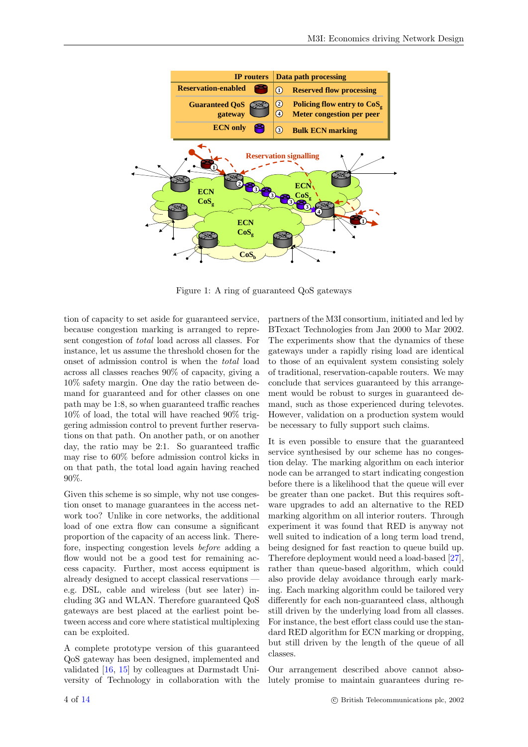

<span id="page-3-0"></span>Figure 1: A ring of guaranteed QoS gateways

tion of capacity to set aside for guaranteed service, because congestion marking is arranged to represent congestion of total load across all classes. For instance, let us assume the threshold chosen for the onset of admission control is when the total load across all classes reaches 90% of capacity, giving a 10% safety margin. One day the ratio between demand for guaranteed and for other classes on one path may be 1:8, so when guaranteed traffic reaches 10% of load, the total will have reached 90% triggering admission control to prevent further reservations on that path. On another path, or on another day, the ratio may be 2:1. So guaranteed traffic may rise to 60% before admission control kicks in on that path, the total load again having reached 90%.

Given this scheme is so simple, why not use congestion onset to manage guarantees in the access network too? Unlike in core networks, the additional load of one extra flow can consume a significant proportion of the capacity of an access link. Therefore, inspecting congestion levels before adding a flow would not be a good test for remaining access capacity. Further, most access equipment is already designed to accept classical reservations e.g. DSL, cable and wireless (but see later) including 3G and WLAN. Therefore guaranteed QoS gateways are best placed at the earliest point between access and core where statistical multiplexing can be exploited.

A complete prototype version of this guaranteed QoS gateway has been designed, implemented and validated [\[16,](#page-12-11) [15\]](#page-12-12) by colleagues at Darmstadt University of Technology in collaboration with the partners of the M3I consortium, initiated and led by BTexact Technologies from Jan 2000 to Mar 2002. The experiments show that the dynamics of these gateways under a rapidly rising load are identical to those of an equivalent system consisting solely of traditional, reservation-capable routers. We may conclude that services guaranteed by this arrangement would be robust to surges in guaranteed demand, such as those experienced during televotes. However, validation on a production system would be necessary to fully support such claims.

It is even possible to ensure that the guaranteed service synthesised by our scheme has no congestion delay. The marking algorithm on each interior node can be arranged to start indicating congestion before there is a likelihood that the queue will ever be greater than one packet. But this requires software upgrades to add an alternative to the RED marking algorithm on all interior routers. Through experiment it was found that RED is anyway not well suited to indication of a long term load trend, being designed for fast reaction to queue build up. Therefore deployment would need a load-based [\[27\]](#page-13-5), rather than queue-based algorithm, which could also provide delay avoidance through early marking. Each marking algorithm could be tailored very differently for each non-guaranteed class, although still driven by the underlying load from all classes. For instance, the best effort class could use the standard RED algorithm for ECN marking or dropping, but still driven by the length of the queue of all classes.

Our arrangement described above cannot absolutely promise to maintain guarantees during re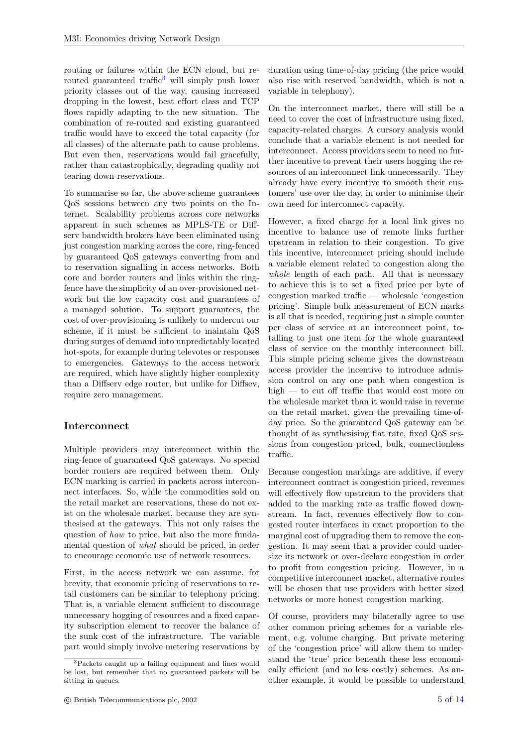routing or failures within the ECN cloud, but re-routed guaranteed traffic<sup>[3](#page-4-0)</sup> will simply push lower priority classes out of the way, causing increased dropping in the lowest, best effort class and TCP flows rapidly adapting to the new situation. The combination of re-routed and existing guaranteed traffic would have to exceed the total capacity (for all classes) of the alternate path to cause problems. But even then, reservations would fail gracefully, rather than catastrophically, degrading quality not tearing down reservations.

To summarise so far, the above scheme guarantees QoS sessions between any two points on the Internet. Scalability problems across core networks apparent in such schemes as MPLS-TE or Diffserv bandwidth brokers have been eliminated using just congestion marking across the core, ring-fenced by guaranteed QoS gateways converting from and to reservation signalling in access networks. Both core and border routers and links within the ringfence have the simplicity of an over-provisioned network but the low capacity cost and guarantees of a managed solution. To support guarantees, the cost of over-provisioning is unlikely to undercut our scheme, if it must be sufficient to maintain QoS during surges of demand into unpredictably located hot-spots, for example during televotes or responses to emergencies. Gateways to the access network are required, which have slightly higher complexity than a Diffserv edge router, but unlike for Diffsev, require zero management.

#### Interconnect

Multiple providers may interconnect within the ring-fence of guaranteed QoS gateways. No special border routers are required between them. Only ECN marking is carried in packets across interconnect interfaces. So, while the commodities sold on the retail market are reservations, these do not exist on the wholesale market, because they are synthesised at the gateways. This not only raises the question of how to price, but also the more fundamental question of what should be priced, in order to encourage economic use of network resources.

First, in the access network we can assume, for brevity, that economic pricing of reservations to retail customers can be similar to telephony pricing. That is, a variable element sufficient to discourage unnecessary hogging of resources and a fixed capacity subscription element to recover the balance of the sunk cost of the infrastructure. The variable part would simply involve metering reservations by

duration using time-of-day pricing (the price would also rise with reserved bandwidth, which is not a variable in telephony).

On the interconnect market, there will still be a need to cover the cost of infrastructure using fixed, capacity-related charges. A cursory analysis would conclude that a variable element is not needed for interconnect. Access providers seem to need no further incentive to prevent their users hogging the resources of an interconnect link unnecessarily. They already have every incentive to smooth their customers' use over the day, in order to minimise their own need for interconnect capacity.

However, a fixed charge for a local link gives no incentive to balance use of remote links further upstream in relation to their congestion. To give this incentive, interconnect pricing should include a variable element related to congestion along the whole length of each path. All that is necessary to achieve this is to set a fixed price per byte of congestion marked traffic — wholesale 'congestion pricing'. Simple bulk measurement of ECN marks is all that is needed, requiring just a simple counter per class of service at an interconnect point, totalling to just one item for the whole guaranteed class of service on the monthly interconnect bill. This simple pricing scheme gives the downstream access provider the incentive to introduce admission control on any one path when congestion is high — to cut off traffic that would cost more on the wholesale market than it would raise in revenue on the retail market, given the prevailing time-ofday price. So the guaranteed QoS gateway can be thought of as synthesising flat rate, fixed QoS sessions from congestion priced, bulk, connectionless traffic.

Because congestion markings are additive, if every interconnect contract is congestion priced, revenues will effectively flow upstream to the providers that added to the marking rate as traffic flowed downstream. In fact, revenues effectively flow to congested router interfaces in exact proportion to the marginal cost of upgrading them to remove the congestion. It may seem that a provider could undersize its network or over-declare congestion in order to profit from congestion pricing. However, in a competitive interconnect market, alternative routes will be chosen that use providers with better sized networks or more honest congestion marking.

Of course, providers may bilaterally agree to use other common pricing schemes for a variable element, e.g. volume charging. But private metering of the 'congestion price' will allow them to understand the 'true' price beneath these less economically efficient (and no less costly) schemes. As another example, it would be possible to understand

<span id="page-4-0"></span><sup>3</sup>Packets caught up a failing equipment and lines would be lost, but remember that no guaranteed packets will be sitting in queues.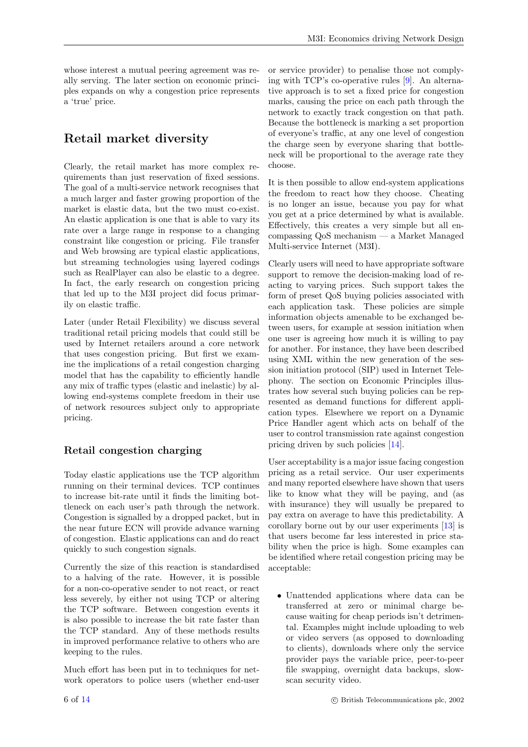whose interest a mutual peering agreement was really serving. The later section on economic principles expands on why a congestion price represents a 'true' price.

# Retail market diversity

Clearly, the retail market has more complex requirements than just reservation of fixed sessions. The goal of a multi-service network recognises that a much larger and faster growing proportion of the market is elastic data, but the two must co-exist. An elastic application is one that is able to vary its rate over a large range in response to a changing constraint like congestion or pricing. File transfer and Web browsing are typical elastic applications, but streaming technologies using layered codings such as RealPlayer can also be elastic to a degree. In fact, the early research on congestion pricing that led up to the M3I project did focus primarily on elastic traffic.

Later (under Retail Flexibility) we discuss several traditional retail pricing models that could still be used by Internet retailers around a core network that uses congestion pricing. But first we examine the implications of a retail congestion charging model that has the capability to efficiently handle any mix of traffic types (elastic and inelastic) by allowing end-systems complete freedom in their use of network resources subject only to appropriate pricing.

## Retail congestion charging

Today elastic applications use the TCP algorithm running on their terminal devices. TCP continues to increase bit-rate until it finds the limiting bottleneck on each user's path through the network. Congestion is signalled by a dropped packet, but in the near future ECN will provide advance warning of congestion. Elastic applications can and do react quickly to such congestion signals.

Currently the size of this reaction is standardised to a halving of the rate. However, it is possible for a non-co-operative sender to not react, or react less severely, by either not using TCP or altering the TCP software. Between congestion events it is also possible to increase the bit rate faster than the TCP standard. Any of these methods results in improved performance relative to others who are keeping to the rules.

Much effort has been put in to techniques for network operators to police users (whether end-user or service provider) to penalise those not complying with TCP's co-operative rules [\[9\]](#page-12-13). An alternative approach is to set a fixed price for congestion marks, causing the price on each path through the network to exactly track congestion on that path. Because the bottleneck is marking a set proportion of everyone's traffic, at any one level of congestion the charge seen by everyone sharing that bottleneck will be proportional to the average rate they choose.

It is then possible to allow end-system applications the freedom to react how they choose. Cheating is no longer an issue, because you pay for what you get at a price determined by what is available. Effectively, this creates a very simple but all encompassing QoS mechanism — a Market Managed Multi-service Internet (M3I).

Clearly users will need to have appropriate software support to remove the decision-making load of reacting to varying prices. Such support takes the form of preset QoS buying policies associated with each application task. These policies are simple information objects amenable to be exchanged between users, for example at session initiation when one user is agreeing how much it is willing to pay for another. For instance, they have been described using XML within the new generation of the session initiation protocol (SIP) used in Internet Telephony. The section on Economic Principles illustrates how several such buying policies can be represented as demand functions for different application types. Elsewhere we report on a Dynamic Price Handler agent which acts on behalf of the user to control transmission rate against congestion pricing driven by such policies [\[14\]](#page-12-14).

User acceptability is a major issue facing congestion pricing as a retail service. Our user experiments and many reported elsewhere have shown that users like to know what they will be paying, and (as with insurance) they will usually be prepared to pay extra on average to have this predictability. A corollary borne out by our user experiments [\[13\]](#page-12-15) is that users become far less interested in price stability when the price is high. Some examples can be identified where retail congestion pricing may be acceptable:

• Unattended applications where data can be transferred at zero or minimal charge because waiting for cheap periods isn't detrimental. Examples might include uploading to web or video servers (as opposed to downloading to clients), downloads where only the service provider pays the variable price, peer-to-peer file swapping, overnight data backups, slowscan security video.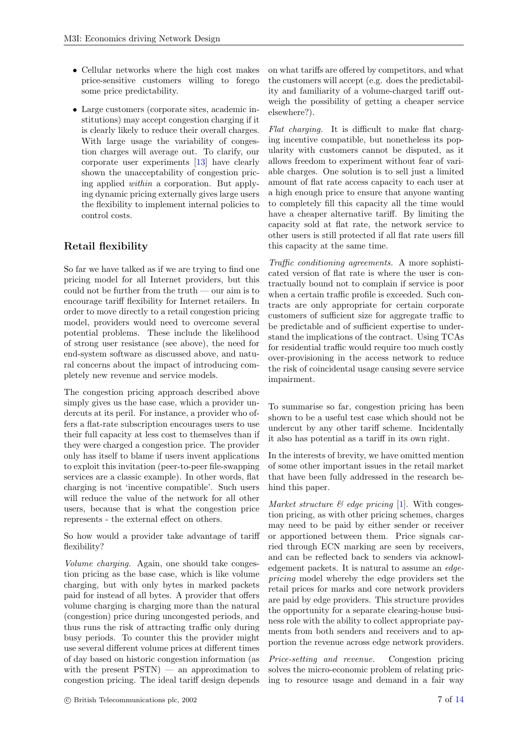- Cellular networks where the high cost makes price-sensitive customers willing to forego some price predictability.
- Large customers (corporate sites, academic institutions) may accept congestion charging if it is clearly likely to reduce their overall charges. With large usage the variability of congestion charges will average out. To clarify, our corporate user experiments [\[13\]](#page-12-15) have clearly shown the unacceptability of congestion pricing applied within a corporation. But applying dynamic pricing externally gives large users the flexibility to implement internal policies to control costs.

## Retail flexibility

So far we have talked as if we are trying to find one pricing model for all Internet providers, but this could not be further from the truth — our aim is to encourage tariff flexibility for Internet retailers. In order to move directly to a retail congestion pricing model, providers would need to overcome several potential problems. These include the likelihood of strong user resistance (see above), the need for end-system software as discussed above, and natural concerns about the impact of introducing completely new revenue and service models.

The congestion pricing approach described above simply gives us the base case, which a provider undercuts at its peril. For instance, a provider who offers a flat-rate subscription encourages users to use their full capacity at less cost to themselves than if they were charged a congestion price. The provider only has itself to blame if users invent applications to exploit this invitation (peer-to-peer file-swapping services are a classic example). In other words, flat charging is not 'incentive compatible'. Such users will reduce the value of the network for all other users, because that is what the congestion price represents - the external effect on others.

So how would a provider take advantage of tariff flexibility?

Volume charging. Again, one should take congestion pricing as the base case, which is like volume charging, but with only bytes in marked packets paid for instead of all bytes. A provider that offers volume charging is charging more than the natural (congestion) price during uncongested periods, and thus runs the risk of attracting traffic only during busy periods. To counter this the provider might use several different volume prices at different times of day based on historic congestion information (as with the present  $\text{PSTN}$  – an approximation to congestion pricing. The ideal tariff design depends

on what tariffs are offered by competitors, and what the customers will accept (e.g. does the predictability and familiarity of a volume-charged tariff outweigh the possibility of getting a cheaper service elsewhere?).

Flat charging. It is difficult to make flat charging incentive compatible, but nonetheless its popularity with customers cannot be disputed, as it allows freedom to experiment without fear of variable charges. One solution is to sell just a limited amount of flat rate access capacity to each user at a high enough price to ensure that anyone wanting to completely fill this capacity all the time would have a cheaper alternative tariff. By limiting the capacity sold at flat rate, the network service to other users is still protected if all flat rate users fill this capacity at the same time.

Traffic conditioning agreements. A more sophisticated version of flat rate is where the user is contractually bound not to complain if service is poor when a certain traffic profile is exceeded. Such contracts are only appropriate for certain corporate customers of sufficient size for aggregate traffic to be predictable and of sufficient expertise to understand the implications of the contract. Using TCAs for residential traffic would require too much costly over-provisioning in the access network to reduce the risk of coincidental usage causing severe service impairment.

To summarise so far, congestion pricing has been shown to be a useful test case which should not be undercut by any other tariff scheme. Incidentally it also has potential as a tariff in its own right.

In the interests of brevity, we have omitted mention of some other important issues in the retail market that have been fully addressed in the research behind this paper.

Market structure  $\mathcal B$  edge pricing [\[1\]](#page-12-16). With congestion pricing, as with other pricing schemes, charges may need to be paid by either sender or receiver or apportioned between them. Price signals carried through ECN marking are seen by receivers, and can be reflected back to senders via acknowledgement packets. It is natural to assume an edgepricing model whereby the edge providers set the retail prices for marks and core network providers are paid by edge providers. This structure provides the opportunity for a separate clearing-house business role with the ability to collect appropriate payments from both senders and receivers and to apportion the revenue across edge network providers.

Price-setting and revenue. Congestion pricing solves the micro-economic problem of relating pricing to resource usage and demand in a fair way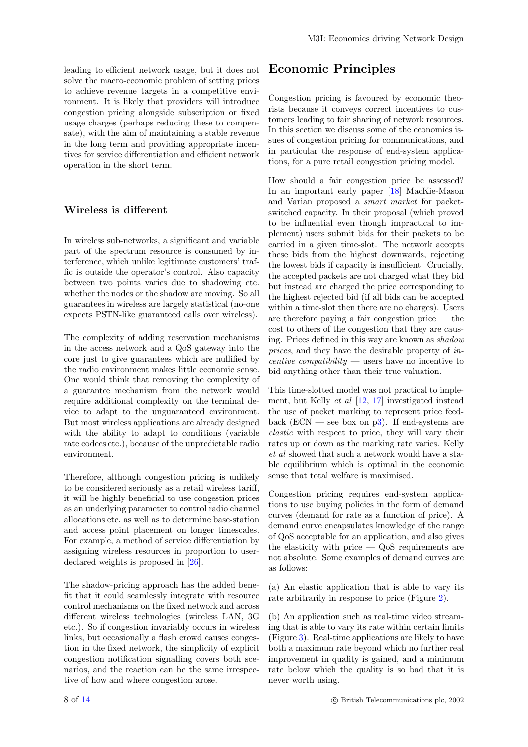leading to efficient network usage, but it does not solve the macro-economic problem of setting prices to achieve revenue targets in a competitive environment. It is likely that providers will introduce congestion pricing alongside subscription or fixed usage charges (perhaps reducing these to compensate), with the aim of maintaining a stable revenue in the long term and providing appropriate incentives for service differentiation and efficient network operation in the short term.

#### Wireless is different

In wireless sub-networks, a significant and variable part of the spectrum resource is consumed by interference, which unlike legitimate customers' traffic is outside the operator's control. Also capacity between two points varies due to shadowing etc. whether the nodes or the shadow are moving. So all guarantees in wireless are largely statistical (no-one expects PSTN-like guaranteed calls over wireless).

The complexity of adding reservation mechanisms in the access network and a QoS gateway into the core just to give guarantees which are nullified by the radio environment makes little economic sense. One would think that removing the complexity of a guarantee mechanism from the network would require additional complexity on the terminal device to adapt to the unguaranteed environment. But most wireless applications are already designed with the ability to adapt to conditions (variable rate codecs etc.), because of the unpredictable radio environment.

Therefore, although congestion pricing is unlikely to be considered seriously as a retail wireless tariff, it will be highly beneficial to use congestion prices as an underlying parameter to control radio channel allocations etc. as well as to determine base-station and access point placement on longer timescales. For example, a method of service differentiation by assigning wireless resources in proportion to userdeclared weights is proposed in [\[26\]](#page-13-6).

The shadow-pricing approach has the added benefit that it could seamlessly integrate with resource control mechanisms on the fixed network and across different wireless technologies (wireless LAN, 3G etc.). So if congestion invariably occurs in wireless links, but occasionally a flash crowd causes congestion in the fixed network, the simplicity of explicit congestion notification signalling covers both scenarios, and the reaction can be the same irrespective of how and where congestion arose.

# Economic Principles

Congestion pricing is favoured by economic theorists because it conveys correct incentives to customers leading to fair sharing of network resources. In this section we discuss some of the economics issues of congestion pricing for communications, and in particular the response of end-system applications, for a pure retail congestion pricing model.

How should a fair congestion price be assessed? In an important early paper [\[18\]](#page-12-17) MacKie-Mason and Varian proposed a smart market for packetswitched capacity. In their proposal (which proved to be influential even though impractical to implement) users submit bids for their packets to be carried in a given time-slot. The network accepts these bids from the highest downwards, rejecting the lowest bids if capacity is insufficient. Crucially, the accepted packets are not charged what they bid but instead are charged the price corresponding to the highest rejected bid (if all bids can be accepted within a time-slot then there are no charges). Users are therefore paying a fair congestion price — the cost to others of the congestion that they are causing. Prices defined in this way are known as shadow prices, and they have the desirable property of in*centive compatibility* — users have no incentive to bid anything other than their true valuation.

This time-slotted model was not practical to implement, but Kelly et al [\[12,](#page-12-18) [17\]](#page-12-19) investigated instead the use of packet marking to represent price feedback (ECN — see box on  $p3$ ). If end-systems are elastic with respect to price, they will vary their rates up or down as the marking rate varies. Kelly et al showed that such a network would have a stable equilibrium which is optimal in the economic sense that total welfare is maximised.

Congestion pricing requires end-system applications to use buying policies in the form of demand curves (demand for rate as a function of price). A demand curve encapsulates knowledge of the range of QoS acceptable for an application, and also gives the elasticity with price  $-$  QoS requirements are not absolute. Some examples of demand curves are as follows:

(a) An elastic application that is able to vary its rate arbitrarily in response to price (Figure [2\)](#page-8-0).

(b) An application such as real-time video streaming that is able to vary its rate within certain limits (Figure [3\)](#page-8-1). Real-time applications are likely to have both a maximum rate beyond which no further real improvement in quality is gained, and a minimum rate below which the quality is so bad that it is never worth using.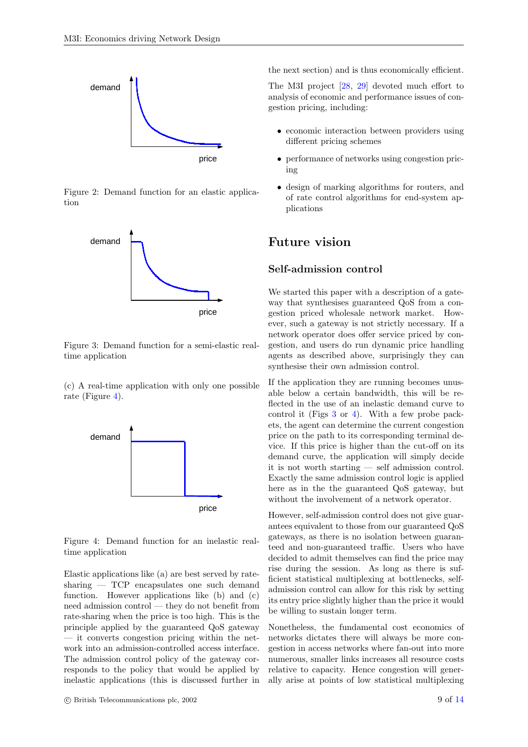

Figure 2: Demand function for an elastic application

<span id="page-8-0"></span>

<span id="page-8-1"></span>Figure 3: Demand function for a semi-elastic realtime application

(c) A real-time application with only one possible rate (Figure [4\)](#page-8-2).



<span id="page-8-2"></span>Figure 4: Demand function for an inelastic realtime application

Elastic applications like (a) are best served by ratesharing — TCP encapsulates one such demand function. However applications like (b) and (c) need admission control — they do not benefit from rate-sharing when the price is too high. This is the principle applied by the guaranteed QoS gateway — it converts congestion pricing within the network into an admission-controlled access interface. The admission control policy of the gateway corresponds to the policy that would be applied by inelastic applications (this is discussed further in

 $\degree$  C British Telecommunications plc, 2002 9 of [14](#page-13-4)

the next section) and is thus economically efficient.

The M3I project [\[28,](#page-13-7) [29\]](#page-13-8) devoted much effort to analysis of economic and performance issues of congestion pricing, including:

- economic interaction between providers using different pricing schemes
- performance of networks using congestion pricing
- design of marking algorithms for routers, and of rate control algorithms for end-system applications

#### Future vision

#### Self-admission control

We started this paper with a description of a gateway that synthesises guaranteed QoS from a congestion priced wholesale network market. However, such a gateway is not strictly necessary. If a network operator does offer service priced by congestion, and users do run dynamic price handling agents as described above, surprisingly they can synthesise their own admission control.

If the application they are running becomes unusable below a certain bandwidth, this will be reflected in the use of an inelastic demand curve to control it (Figs [3](#page-8-1) or [4\)](#page-8-2). With a few probe packets, the agent can determine the current congestion price on the path to its corresponding terminal device. If this price is higher than the cut-off on its demand curve, the application will simply decide it is not worth starting — self admission control. Exactly the same admission control logic is applied here as in the the guaranteed QoS gateway, but without the involvement of a network operator.

However, self-admission control does not give guarantees equivalent to those from our guaranteed QoS gateways, as there is no isolation between guaranteed and non-guaranteed traffic. Users who have decided to admit themselves can find the price may rise during the session. As long as there is sufficient statistical multiplexing at bottlenecks, selfadmission control can allow for this risk by setting its entry price slightly higher than the price it would be willing to sustain longer term.

Nonetheless, the fundamental cost economics of networks dictates there will always be more congestion in access networks where fan-out into more numerous, smaller links increases all resource costs relative to capacity. Hence congestion will generally arise at points of low statistical multiplexing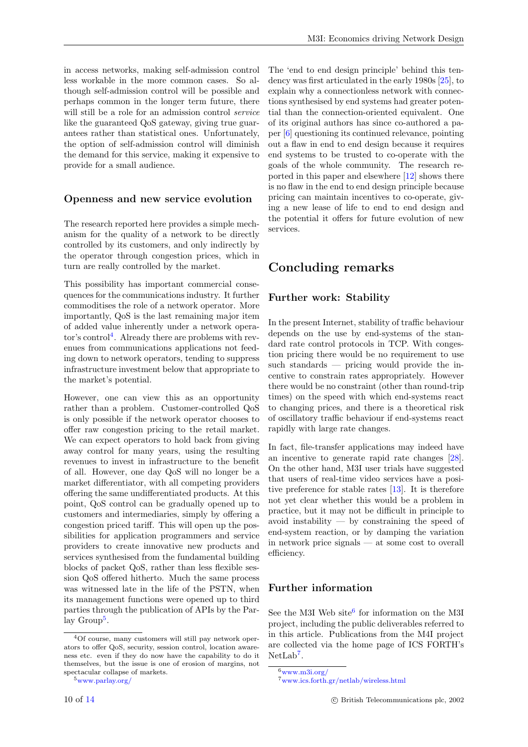in access networks, making self-admission control less workable in the more common cases. So although self-admission control will be possible and perhaps common in the longer term future, there will still be a role for an admission control service like the guaranteed QoS gateway, giving true guarantees rather than statistical ones. Unfortunately, the option of self-admission control will diminish the demand for this service, making it expensive to provide for a small audience.

#### Openness and new service evolution

The research reported here provides a simple mechanism for the quality of a network to be directly controlled by its customers, and only indirectly by the operator through congestion prices, which in turn are really controlled by the market.

This possibility has important commercial consequences for the communications industry. It further commoditises the role of a network operator. More importantly, QoS is the last remaining major item of added value inherently under a network opera- $\text{tor's control}^4$  $\text{tor's control}^4$ . Already there are problems with revenues from communications applications not feeding down to network operators, tending to suppress infrastructure investment below that appropriate to the market's potential.

However, one can view this as an opportunity rather than a problem. Customer-controlled QoS is only possible if the network operator chooses to offer raw congestion pricing to the retail market. We can expect operators to hold back from giving away control for many years, using the resulting revenues to invest in infrastructure to the benefit of all. However, one day QoS will no longer be a market differentiator, with all competing providers offering the same undifferentiated products. At this point, QoS control can be gradually opened up to customers and intermediaries, simply by offering a congestion priced tariff. This will open up the possibilities for application programmers and service providers to create innovative new products and services synthesised from the fundamental building blocks of packet QoS, rather than less flexible session QoS offered hitherto. Much the same process was witnessed late in the life of the PSTN, when its management functions were opened up to third parties through the publication of APIs by the Par-lay Group<sup>[5](#page-9-1)</sup>.

<span id="page-9-1"></span> $^5$ [www.parlay.org/](http://www.parlay.org/)  $\,$ 

The 'end to end design principle' behind this tendency was first articulated in the early 1980s [\[25\]](#page-13-9), to explain why a connectionless network with connections synthesised by end systems had greater potential than the connection-oriented equivalent. One of its original authors has since co-authored a paper [\[6\]](#page-12-20) questioning its continued relevance, pointing out a flaw in end to end design because it requires end systems to be trusted to co-operate with the goals of the whole community. The research reported in this paper and elsewhere [\[12\]](#page-12-18) shows there is no flaw in the end to end design principle because pricing can maintain incentives to co-operate, giving a new lease of life to end to end design and the potential it offers for future evolution of new services.

## Concluding remarks

#### Further work: Stability

In the present Internet, stability of traffic behaviour depends on the use by end-systems of the standard rate control protocols in TCP. With congestion pricing there would be no requirement to use such standards — pricing would provide the incentive to constrain rates appropriately. However there would be no constraint (other than round-trip times) on the speed with which end-systems react to changing prices, and there is a theoretical risk of oscillatory traffic behaviour if end-systems react rapidly with large rate changes.

In fact, file-transfer applications may indeed have an incentive to generate rapid rate changes [\[28\]](#page-13-7). On the other hand, M3I user trials have suggested that users of real-time video services have a positive preference for stable rates [\[13\]](#page-12-15). It is therefore not yet clear whether this would be a problem in practice, but it may not be difficult in principle to avoid instability  $-$  by constraining the speed of end-system reaction, or by damping the variation in network price signals — at some cost to overall efficiency.

#### Further information

See the M3I Web site<sup>[6](#page-9-2)</sup> for information on the M3I project, including the public deliverables referred to in this article. Publications from the M4I project are collected via the home page of ICS FORTH's  $NetLab<sup>7</sup>$  $NetLab<sup>7</sup>$  $NetLab<sup>7</sup>$ .

<span id="page-9-0"></span><sup>4</sup>Of course, many customers will still pay network operators to offer QoS, security, session control, location awareness etc. even if they do now have the capability to do it themselves, but the issue is one of erosion of margins, not spectacular collapse of markets.

 $6$ [www.m3i.org/](http://www.m3i.org/)

<span id="page-9-3"></span><span id="page-9-2"></span><sup>7</sup>[www.ics.forth.gr/netlab/wireless.html](http://www.ics.forth.gr/netlab/wireless.html)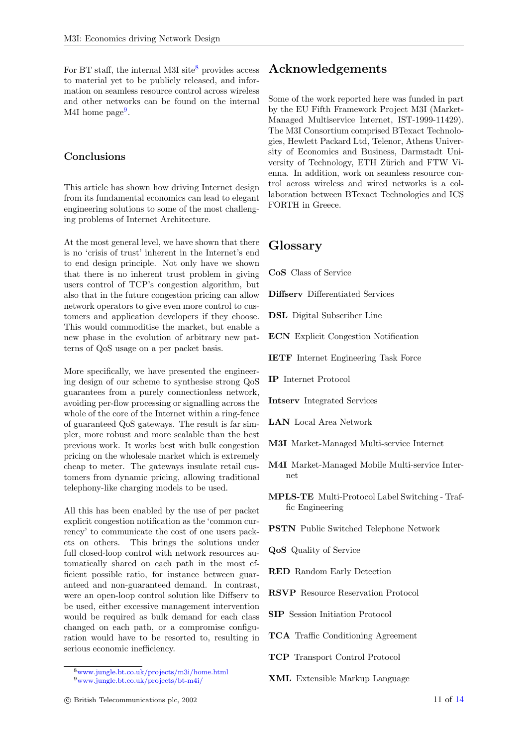For BT staff, the internal M3I site<sup>[8](#page-10-0)</sup> provides access to material yet to be publicly released, and information on seamless resource control across wireless and other networks can be found on the internal M4I home page<sup>[9](#page-10-1)</sup>.

#### Conclusions

This article has shown how driving Internet design from its fundamental economics can lead to elegant engineering solutions to some of the most challenging problems of Internet Architecture.

At the most general level, we have shown that there is no 'crisis of trust' inherent in the Internet's end to end design principle. Not only have we shown that there is no inherent trust problem in giving users control of TCP's congestion algorithm, but also that in the future congestion pricing can allow network operators to give even more control to customers and application developers if they choose. This would commoditise the market, but enable a new phase in the evolution of arbitrary new patterns of QoS usage on a per packet basis.

More specifically, we have presented the engineering design of our scheme to synthesise strong QoS guarantees from a purely connectionless network, avoiding per-flow processing or signalling across the whole of the core of the Internet within a ring-fence of guaranteed QoS gateways. The result is far simpler, more robust and more scalable than the best previous work. It works best with bulk congestion pricing on the wholesale market which is extremely cheap to meter. The gateways insulate retail customers from dynamic pricing, allowing traditional telephony-like charging models to be used.

All this has been enabled by the use of per packet explicit congestion notification as the 'common currency' to communicate the cost of one users packets on others. This brings the solutions under full closed-loop control with network resources automatically shared on each path in the most efficient possible ratio, for instance between guaranteed and non-guaranteed demand. In contrast, were an open-loop control solution like Diffserv to be used, either excessive management intervention would be required as bulk demand for each class changed on each path, or a compromise configuration would have to be resorted to, resulting in serious economic inefficiency.

## Acknowledgements

Some of the work reported here was funded in part by the EU Fifth Framework Project M3I (Market-Managed Multiservice Internet, IST-1999-11429). The M3I Consortium comprised BTexact Technologies, Hewlett Packard Ltd, Telenor, Athens University of Economics and Business, Darmstadt University of Technology, ETH Zürich and FTW Vienna. In addition, work on seamless resource control across wireless and wired networks is a collaboration between BTexact Technologies and ICS FORTH in Greece.

#### Glossary

CoS Class of Service

Diffserv Differentiated Services

DSL Digital Subscriber Line

ECN Explicit Congestion Notification

- IETF Internet Engineering Task Force
- IP Internet Protocol
- Intserv Integrated Services
- LAN Local Area Network
- M3I Market-Managed Multi-service Internet
- M4I Market-Managed Mobile Multi-service Internet
- MPLS-TE Multi-Protocol Label Switching Traffic Engineering
- PSTN Public Switched Telephone Network
- QoS Quality of Service
- RED Random Early Detection
- RSVP Resource Reservation Protocol
- SIP Session Initiation Protocol
- TCA Traffic Conditioning Agreement
- TCP Transport Control Protocol
- XML Extensible Markup Language

<span id="page-10-1"></span><span id="page-10-0"></span><sup>8</sup>[www.jungle.bt.co.uk/projects/m3i/home.html](http://www.jungle.bt.co.uk/projects/m3i/home.html) <sup>9</sup>[www.jungle.bt.co.uk/projects/bt-m4i/](http://www.jungle.bt.co.uk/projects/bt-m4i/)

 $\degree$  8 Pritish Telecommunications plc, 2002 11 of [14](#page-13-4)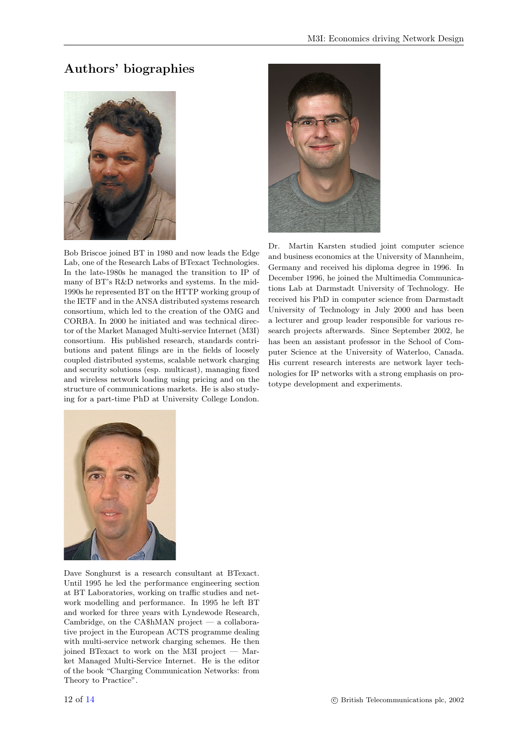## Authors' biographies



Bob Briscoe joined BT in 1980 and now leads the Edge Lab, one of the Research Labs of BTexact Technologies. In the late-1980s he managed the transition to IP of many of BT's R&D networks and systems. In the mid-1990s he represented BT on the HTTP working group of the IETF and in the ANSA distributed systems research consortium, which led to the creation of the OMG and CORBA. In 2000 he initiated and was technical director of the Market Managed Multi-service Internet (M3I) consortium. His published research, standards contributions and patent filings are in the fields of loosely coupled distributed systems, scalable network charging and security solutions (esp. multicast), managing fixed and wireless network loading using pricing and on the structure of communications markets. He is also studying for a part-time PhD at University College London.



Dr. Martin Karsten studied joint computer science and business economics at the University of Mannheim, Germany and received his diploma degree in 1996. In December 1996, he joined the Multimedia Communications Lab at Darmstadt University of Technology. He received his PhD in computer science from Darmstadt University of Technology in July 2000 and has been a lecturer and group leader responsible for various research projects afterwards. Since September 2002, he has been an assistant professor in the School of Computer Science at the University of Waterloo, Canada. His current research interests are network layer technologies for IP networks with a strong emphasis on prototype development and experiments.



Dave Songhurst is a research consultant at BTexact. Until 1995 he led the performance engineering section at BT Laboratories, working on traffic studies and network modelling and performance. In 1995 he left BT and worked for three years with Lyndewode Research, Cambridge, on the CA\$hMAN project — a collaborative project in the European ACTS programme dealing with multi-service network charging schemes. He then joined BTexact to work on the M3I project — Market Managed Multi-Service Internet. He is the editor of the book "Charging Communication Networks: from Theory to Practice".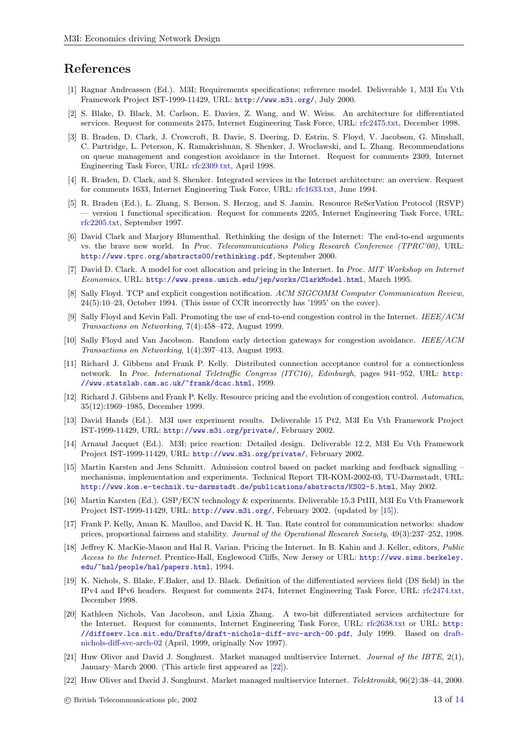#### References

- <span id="page-12-16"></span>[1] Ragnar Andreassen (Ed.). M3I; Requirements specifications; reference model. Deliverable 1, M3I Eu Vth Framework Project IST-1999-11429, URL: <http://www.m3i.org/>, July 2000.
- <span id="page-12-3"></span>[2] S. Blake, D. Black, M. Carlson, E. Davies, Z. Wang, and W. Weiss. An architecture for differentiated services. Request for comments 2475, Internet Engineering Task Force, URL: [rfc2475.txt,](http://www.ietf.org/rfc/rfc2475.txt) December 1998.
- <span id="page-12-10"></span>[3] B. Braden, D. Clark, J. Crowcroft, B. Davie, S. Deering, D. Estrin, S. Floyd, V. Jacobson, G. Minshall, C. Partridge, L. Peterson, K. Ramakrishnan, S. Shenker, J. Wroclawski, and L. Zhang. Recommendations on queue management and congestion avoidance in the Internet. Request for comments 2309, Internet Engineering Task Force, URL: [rfc2309.txt,](http://www.ietf.org/rfc/rfc2309.txt) April 1998.
- <span id="page-12-1"></span>[4] R. Braden, D. Clark, and S. Shenker. Integrated services in the Internet architecture: an overview. Request for comments 1633, Internet Engineering Task Force, URL: [rfc1633.txt,](http://www.ietf.org/rfc/rfc1633.txt) June 1994.
- <span id="page-12-5"></span>[5] R. Braden (Ed.), L. Zhang, S. Berson, S. Herzog, and S. Jamin. Resource ReSerVation Protocol (RSVP) — version 1 functional specification. Request for comments 2205, Internet Engineering Task Force, URL: [rfc2205.txt,](http://www.ietf.org/rfc/rfc2205.txt) September 1997.
- <span id="page-12-20"></span>[6] David Clark and Marjory Blumenthal. Rethinking the design of the Internet: The end-to-end arguments vs. the brave new world. In Proc. Telecommunications Policy Research Conference (TPRC'00), URL: <http://www.tprc.org/abstracts00/rethinking.pdf>, September 2000.
- <span id="page-12-2"></span>[7] David D. Clark. A model for cost allocation and pricing in the Internet. In Proc. MIT Workshop on Internet Economics, URL: <http://www.press.umich.edu/jep/works/ClarkModel.html>, March 1995.
- <span id="page-12-8"></span>[8] Sally Floyd. TCP and explicit congestion notification. ACM SIGCOMM Computer Communication Review, 24(5):10–23, October 1994. (This issue of CCR incorrectly has '1995' on the cover).
- <span id="page-12-13"></span>[9] Sally Floyd and Kevin Fall. Promoting the use of end-to-end congestion control in the Internet. IEEE/ACM Transactions on Networking, 7(4):458–472, August 1999.
- <span id="page-12-9"></span>[10] Sally Floyd and Van Jacobson. Random early detection gateways for congestion avoidance. IEEE/ACM Transactions on Networking, 1(4):397–413, August 1993.
- <span id="page-12-6"></span>[11] Richard J. Gibbens and Frank P. Kelly. Distributed connection acceptance control for a connectionless network. In Proc. International Teletraffic Congress (ITC16), Edinburgh, pages 941–952, URL: [http:](http://www.statslab.cam.ac.uk/~frank/dcac.html) [//www.statslab.cam.ac.uk/~frank/dcac.html](http://www.statslab.cam.ac.uk/~frank/dcac.html), 1999.
- <span id="page-12-18"></span>[12] Richard J. Gibbens and Frank P. Kelly. Resource pricing and the evolution of congestion control. Automatica, 35(12):1969–1985, December 1999.
- <span id="page-12-15"></span>[13] David Hands (Ed.). M3I user experiment results. Deliverable 15 Pt2, M3I Eu Vth Framework Project IST-1999-11429, URL: <http://www.m3i.org/private/>, February 2002.
- <span id="page-12-14"></span>[14] Arnaud Jacquet (Ed.). M3I; price reaction: Detailed design. Deliverable 12.2, M3I Eu Vth Framework Project IST-1999-11429, URL: <http://www.m3i.org/private/>, February 2002.
- <span id="page-12-12"></span>[15] Martin Karsten and Jens Schmitt. Admission control based on packet marking and feedback signalling – mechanisms, implementation and experiments. Technical Report TR-KOM-2002-03, TU-Darmstadt, URL: <http://www.kom.e-technik.tu-darmstadt.de/publications/abstracts/KS02-5.html>, May 2002.
- <span id="page-12-11"></span>[16] Martin Karsten (Ed.). GSP/ECN technology & experiments. Deliverable 15.3 PtIII, M3I Eu Vth Framework Project IST-1999-11429, URL: <http://www.m3i.org/>, February 2002. (updated by [\[15\]](#page-12-12)).
- <span id="page-12-19"></span>[17] Frank P. Kelly, Aman K. Maulloo, and David K. H. Tan. Rate control for communication networks: shadow prices, proportional fairness and stability. Journal of the Operational Research Society, 49(3):237–252, 1998.
- <span id="page-12-17"></span>[18] Jeffrey K. MacKie-Mason and Hal R. Varian. Pricing the Internet. In B. Kahin and J. Keller, editors, Public Access to the Internet. Prentice-Hall, Englewood Cliffs, New Jersey or URL: [http://www.sims.berkeley.](http://www.sims.berkeley.edu/~hal/people/hal/papers.html) [edu/~hal/people/hal/papers.html](http://www.sims.berkeley.edu/~hal/people/hal/papers.html), 1994.
- <span id="page-12-7"></span>[19] K. Nichols, S. Blake, F.Baker, and D. Black. Definition of the differentiated services field (DS field) in the IPv4 and IPv6 headers. Request for comments 2474, Internet Engineering Task Force, URL: [rfc2474.txt,](http://www.ietf.org/rfc/rfc2474.txt) December 1998.
- <span id="page-12-4"></span>[20] Kathleen Nichols, Van Jacobson, and Lixia Zhang. A two-bit differentiated services architecture for the Internet. Request for comments, Internet Engineering Task Force, URL: [rfc2638.txt](http://www.ietf.org/rfc/rfc2638.txt) or URL: [http:](http://diffserv.lcs.mit.edu/Drafts/draft-nichols-diff-svc-arch-00.pdf) [//diffserv.lcs.mit.edu/Drafts/draft-nichols-diff-svc-arch-00.pdf](http://diffserv.lcs.mit.edu/Drafts/draft-nichols-diff-svc-arch-00.pdf), July 1999. Based on [draft](ftp://ftp.ee.lbl.gov/papers/dsarch.pdf)[nichols-diff-svc-arch-02](ftp://ftp.ee.lbl.gov/papers/dsarch.pdf) (April, 1999, originally Nov 1997).
- <span id="page-12-0"></span>[21] Huw Oliver and David J. Songhurst. Market managed multiservice Internet. Journal of the IBTE, 2(1), January–March 2000. (This article first appeared as [\[22\]](#page-12-21)).
- <span id="page-12-21"></span>[22] Huw Oliver and David J. Songhurst. Market managed multiservice Internet. Telektronikk, 96(2):38–44, 2000.